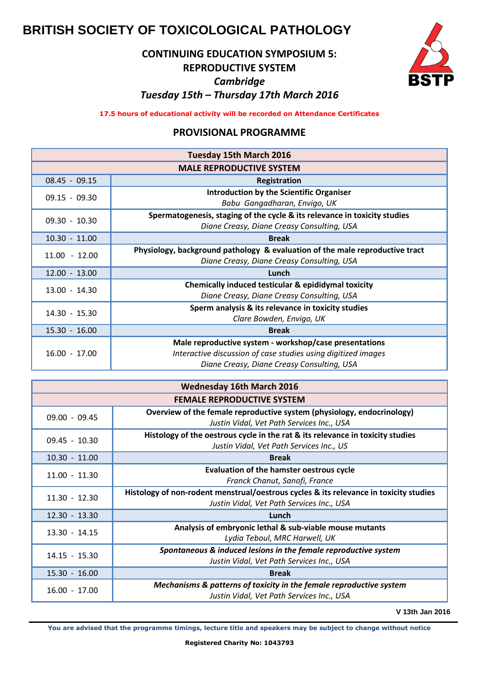# **BRITISH SOCIETY OF TOXICOLOGICAL PATHOLOGY**

## **CONTINUING EDUCATION SYMPOSIUM 5: REPRODUCTIVE SYSTEM** *Cambridge Tuesday 15th – Thursday 17th March 2016*



**17.5 hours of educational activity will be recorded on Attendance Certificates** 

### **PROVISIONAL PROGRAMME**

| Tuesday 15th March 2016         |                                                                              |  |
|---------------------------------|------------------------------------------------------------------------------|--|
| <b>MALE REPRODUCTIVE SYSTEM</b> |                                                                              |  |
| $08.45 - 09.15$                 | Registration                                                                 |  |
| $09.15 - 09.30$                 | <b>Introduction by the Scientific Organiser</b>                              |  |
|                                 | Babu Gangadharan, Envigo, UK                                                 |  |
| $09.30 - 10.30$                 | Spermatogenesis, staging of the cycle & its relevance in toxicity studies    |  |
|                                 | Diane Creasy, Diane Creasy Consulting, USA                                   |  |
| $10.30 - 11.00$                 | <b>Break</b>                                                                 |  |
| $11.00 - 12.00$                 | Physiology, background pathology & evaluation of the male reproductive tract |  |
|                                 | Diane Creasy, Diane Creasy Consulting, USA                                   |  |
| $12.00 - 13.00$                 | Lunch                                                                        |  |
| $13.00 - 14.30$                 | Chemically induced testicular & epididymal toxicity                          |  |
|                                 | Diane Creasy, Diane Creasy Consulting, USA                                   |  |
| 14.30 - 15.30                   | Sperm analysis & its relevance in toxicity studies                           |  |
|                                 | Clare Bowden, Envigo, UK                                                     |  |
| $15.30 - 16.00$                 | <b>Break</b>                                                                 |  |
| $16.00 - 17.00$                 | Male reproductive system - workshop/case presentations                       |  |
|                                 | Interactive discussion of case studies using digitized images                |  |
|                                 | Diane Creasy, Diane Creasy Consulting, USA                                   |  |

| <b>Wednesday 16th March 2016</b>  |                                                                                                                                    |  |
|-----------------------------------|------------------------------------------------------------------------------------------------------------------------------------|--|
| <b>FEMALE REPRODUCTIVE SYSTEM</b> |                                                                                                                                    |  |
| $09.00 - 09.45$                   | Overview of the female reproductive system (physiology, endocrinology)<br>Justin Vidal, Vet Path Services Inc., USA                |  |
| $09.45 - 10.30$                   | Histology of the oestrous cycle in the rat & its relevance in toxicity studies<br>Justin Vidal, Vet Path Services Inc., US         |  |
| $10.30 - 11.00$                   | <b>Break</b>                                                                                                                       |  |
| $11.00 - 11.30$                   | Evaluation of the hamster oestrous cycle<br>Franck Chanut, Sanofi, France                                                          |  |
| $11.30 - 12.30$                   | Histology of non-rodent menstrual/oestrous cycles & its relevance in toxicity studies<br>Justin Vidal, Vet Path Services Inc., USA |  |
| $12.30 - 13.30$                   | Lunch                                                                                                                              |  |
| $13.30 - 14.15$                   | Analysis of embryonic lethal & sub-viable mouse mutants<br>Lydia Teboul, MRC Harwell, UK                                           |  |
| $14.15 - 15.30$                   | Spontaneous & induced lesions in the female reproductive system<br>Justin Vidal, Vet Path Services Inc., USA                       |  |
| $15.30 - 16.00$                   | <b>Break</b>                                                                                                                       |  |
| $16.00 - 17.00$                   | Mechanisms & patterns of toxicity in the female reproductive system<br>Justin Vidal, Vet Path Services Inc., USA                   |  |

**V 13th Jan 2016**

**You are advised that the programme timings, lecture title and speakers may be subject to change without notice**